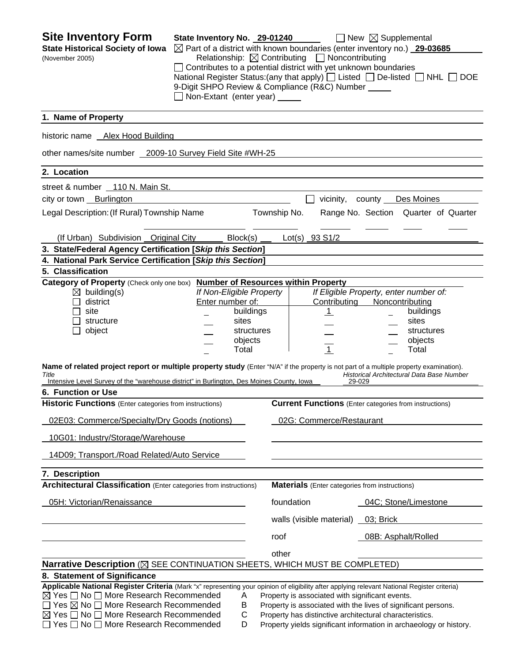| <b>Site Inventory Form</b><br><b>State Historical Society of Iowa</b><br>(November 2005)                                                                                                                                                                                                                                                                                    | State Inventory No. 29-01240<br>Non-Extant (enter year) _____                                        | $\boxtimes$ Part of a district with known boundaries (enter inventory no.) 29-03685<br>Relationship: $\boxtimes$ Contributing $\Box$ Noncontributing<br>Contributes to a potential district with yet unknown boundaries<br>9-Digit SHPO Review & Compliance (R&C) Number _____ | $\Box$ New $\boxtimes$ Supplemental<br>National Register Status: (any that apply) $\Box$ Listed $\Box$ De-listed $\Box$ NHL $\Box$ DOE |
|-----------------------------------------------------------------------------------------------------------------------------------------------------------------------------------------------------------------------------------------------------------------------------------------------------------------------------------------------------------------------------|------------------------------------------------------------------------------------------------------|--------------------------------------------------------------------------------------------------------------------------------------------------------------------------------------------------------------------------------------------------------------------------------|----------------------------------------------------------------------------------------------------------------------------------------|
| 1. Name of Property                                                                                                                                                                                                                                                                                                                                                         |                                                                                                      |                                                                                                                                                                                                                                                                                |                                                                                                                                        |
| historic name Alex Hood Building                                                                                                                                                                                                                                                                                                                                            |                                                                                                      |                                                                                                                                                                                                                                                                                |                                                                                                                                        |
| other names/site number 2009-10 Survey Field Site #WH-25                                                                                                                                                                                                                                                                                                                    |                                                                                                      |                                                                                                                                                                                                                                                                                |                                                                                                                                        |
| 2. Location                                                                                                                                                                                                                                                                                                                                                                 |                                                                                                      |                                                                                                                                                                                                                                                                                |                                                                                                                                        |
| street & number 110 N. Main St.                                                                                                                                                                                                                                                                                                                                             |                                                                                                      |                                                                                                                                                                                                                                                                                |                                                                                                                                        |
| city or town Burlington                                                                                                                                                                                                                                                                                                                                                     |                                                                                                      | vicinity, county                                                                                                                                                                                                                                                               | Des Moines                                                                                                                             |
| Legal Description: (If Rural) Township Name                                                                                                                                                                                                                                                                                                                                 |                                                                                                      | Township No.                                                                                                                                                                                                                                                                   | Range No. Section Quarter of Quarter                                                                                                   |
| (If Urban) Subdivision Original City                                                                                                                                                                                                                                                                                                                                        | Block(s)                                                                                             | Lot(s) 93 S1/2                                                                                                                                                                                                                                                                 |                                                                                                                                        |
| 3. State/Federal Agency Certification [Skip this Section]                                                                                                                                                                                                                                                                                                                   |                                                                                                      |                                                                                                                                                                                                                                                                                |                                                                                                                                        |
| 4. National Park Service Certification [Skip this Section]                                                                                                                                                                                                                                                                                                                  |                                                                                                      |                                                                                                                                                                                                                                                                                |                                                                                                                                        |
| 5. Classification<br>Category of Property (Check only one box)                                                                                                                                                                                                                                                                                                              |                                                                                                      | <b>Number of Resources within Property</b>                                                                                                                                                                                                                                     |                                                                                                                                        |
| $\boxtimes$ building(s)<br>district<br>site<br>structure<br>object                                                                                                                                                                                                                                                                                                          | If Non-Eligible Property<br>Enter number of:<br>buildings<br>sites<br>structures<br>objects<br>Total | Contributing<br>$\mathbf{1}$<br>$\overline{1}$                                                                                                                                                                                                                                 | If Eligible Property, enter number of:<br>Noncontributing<br>buildings<br>sites<br>structures<br>objects<br>Total                      |
| Name of related project report or multiple property study (Enter "N/A" if the property is not part of a multiple property examination).<br>Title<br>Intensive Level Survey of the "warehouse district" in Burlington, Des Moines County, Iowa                                                                                                                               |                                                                                                      |                                                                                                                                                                                                                                                                                | Historical Architectural Data Base Number<br>29-029                                                                                    |
| 6. Function or Use                                                                                                                                                                                                                                                                                                                                                          |                                                                                                      |                                                                                                                                                                                                                                                                                |                                                                                                                                        |
| <b>Historic Functions</b> (Enter categories from instructions)                                                                                                                                                                                                                                                                                                              |                                                                                                      |                                                                                                                                                                                                                                                                                | <b>Current Functions</b> (Enter categories from instructions)                                                                          |
| 02E03: Commerce/Specialty/Dry Goods (notions)                                                                                                                                                                                                                                                                                                                               |                                                                                                      | 02G: Commerce/Restaurant                                                                                                                                                                                                                                                       |                                                                                                                                        |
| 10G01: Industry/Storage/Warehouse                                                                                                                                                                                                                                                                                                                                           |                                                                                                      |                                                                                                                                                                                                                                                                                |                                                                                                                                        |
| 14D09; Transport./Road Related/Auto Service                                                                                                                                                                                                                                                                                                                                 |                                                                                                      |                                                                                                                                                                                                                                                                                |                                                                                                                                        |
| 7. Description                                                                                                                                                                                                                                                                                                                                                              |                                                                                                      |                                                                                                                                                                                                                                                                                |                                                                                                                                        |
| <b>Architectural Classification</b> (Enter categories from instructions)                                                                                                                                                                                                                                                                                                    |                                                                                                      | <b>Materials</b> (Enter categories from instructions)                                                                                                                                                                                                                          |                                                                                                                                        |
| 05H: Victorian/Renaissance                                                                                                                                                                                                                                                                                                                                                  |                                                                                                      | foundation                                                                                                                                                                                                                                                                     | 04C; Stone/Limestone                                                                                                                   |
|                                                                                                                                                                                                                                                                                                                                                                             |                                                                                                      | walls (visible material) 03; Brick                                                                                                                                                                                                                                             |                                                                                                                                        |
|                                                                                                                                                                                                                                                                                                                                                                             |                                                                                                      | roof                                                                                                                                                                                                                                                                           | 08B: Asphalt/Rolled                                                                                                                    |
|                                                                                                                                                                                                                                                                                                                                                                             |                                                                                                      | other                                                                                                                                                                                                                                                                          |                                                                                                                                        |
| Narrative Description (X SEE CONTINUATION SHEETS, WHICH MUST BE COMPLETED)                                                                                                                                                                                                                                                                                                  |                                                                                                      |                                                                                                                                                                                                                                                                                |                                                                                                                                        |
| 8. Statement of Significance                                                                                                                                                                                                                                                                                                                                                |                                                                                                      |                                                                                                                                                                                                                                                                                |                                                                                                                                        |
| Applicable National Register Criteria (Mark "x" representing your opinion of eligibility after applying relevant National Register criteria)<br>$\boxtimes$ Yes $\Box$ No $\Box$ More Research Recommended<br>□ Yes ⊠ No □ More Research Recommended<br>$\boxtimes$ Yes $\Box$ No $\Box$ More Research Recommended<br>$\Box$ Yes $\Box$ No $\Box$ More Research Recommended | Α<br>B<br>C<br>D                                                                                     | Property is associated with significant events.<br>Property has distinctive architectural characteristics.                                                                                                                                                                     | Property is associated with the lives of significant persons.<br>Property yields significant information in archaeology or history.    |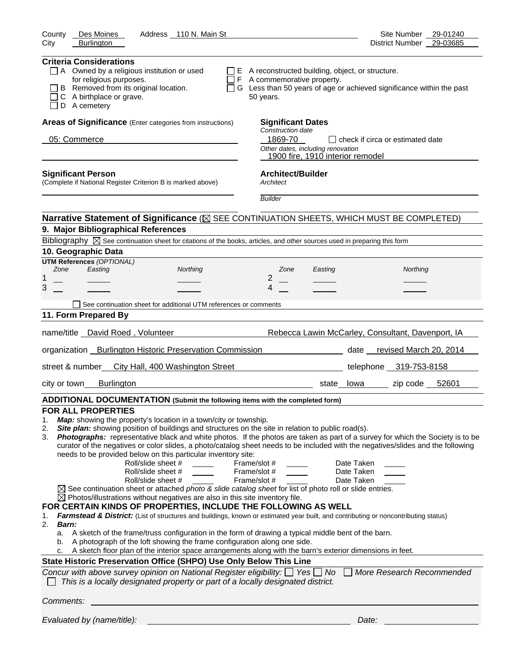| Des Moines<br>Address 110 N. Main St<br>County                                                                                                                                                                                                                                                                                                                                                                                                                                                                                                                                                                                                                                                                                                                                                                                                                                                                                                                                                                                                                                                                                                                                                                                                                                                                                                                                                                                                                                                                                                                                                                                       | Site Number<br>29-01240                                                |
|--------------------------------------------------------------------------------------------------------------------------------------------------------------------------------------------------------------------------------------------------------------------------------------------------------------------------------------------------------------------------------------------------------------------------------------------------------------------------------------------------------------------------------------------------------------------------------------------------------------------------------------------------------------------------------------------------------------------------------------------------------------------------------------------------------------------------------------------------------------------------------------------------------------------------------------------------------------------------------------------------------------------------------------------------------------------------------------------------------------------------------------------------------------------------------------------------------------------------------------------------------------------------------------------------------------------------------------------------------------------------------------------------------------------------------------------------------------------------------------------------------------------------------------------------------------------------------------------------------------------------------------|------------------------------------------------------------------------|
| City<br><b>Burlington</b>                                                                                                                                                                                                                                                                                                                                                                                                                                                                                                                                                                                                                                                                                                                                                                                                                                                                                                                                                                                                                                                                                                                                                                                                                                                                                                                                                                                                                                                                                                                                                                                                            | 29-03685<br>District Number                                            |
| <b>Criteria Considerations</b><br>$\Box$ A Owned by a religious institution or used<br>$\Box$ E A reconstructed building, object, or structure.<br>for religious purposes.<br>$\Box$ F A commemorative property.<br>B Removed from its original location.<br>C A birthplace or grave.<br>50 years.<br>D A cemetery                                                                                                                                                                                                                                                                                                                                                                                                                                                                                                                                                                                                                                                                                                                                                                                                                                                                                                                                                                                                                                                                                                                                                                                                                                                                                                                   | □ G Less than 50 years of age or achieved significance within the past |
| Areas of Significance (Enter categories from instructions)<br><b>Significant Dates</b><br>Construction date                                                                                                                                                                                                                                                                                                                                                                                                                                                                                                                                                                                                                                                                                                                                                                                                                                                                                                                                                                                                                                                                                                                                                                                                                                                                                                                                                                                                                                                                                                                          |                                                                        |
| 1869-70<br>05: Commerce<br>Other dates, including renovation<br>1900 fire, 1910 interior remodel                                                                                                                                                                                                                                                                                                                                                                                                                                                                                                                                                                                                                                                                                                                                                                                                                                                                                                                                                                                                                                                                                                                                                                                                                                                                                                                                                                                                                                                                                                                                     | l I check if circa or estimated date                                   |
| <b>Architect/Builder</b><br><b>Significant Person</b><br>(Complete if National Register Criterion B is marked above)<br>Architect                                                                                                                                                                                                                                                                                                                                                                                                                                                                                                                                                                                                                                                                                                                                                                                                                                                                                                                                                                                                                                                                                                                                                                                                                                                                                                                                                                                                                                                                                                    |                                                                        |
| <b>Builder</b>                                                                                                                                                                                                                                                                                                                                                                                                                                                                                                                                                                                                                                                                                                                                                                                                                                                                                                                                                                                                                                                                                                                                                                                                                                                                                                                                                                                                                                                                                                                                                                                                                       |                                                                        |
| Narrative Statement of Significance ( $\boxtimes$ SEE CONTINUATION SHEETS, WHICH MUST BE COMPLETED)                                                                                                                                                                                                                                                                                                                                                                                                                                                                                                                                                                                                                                                                                                                                                                                                                                                                                                                                                                                                                                                                                                                                                                                                                                                                                                                                                                                                                                                                                                                                  |                                                                        |
| 9. Major Bibliographical References                                                                                                                                                                                                                                                                                                                                                                                                                                                                                                                                                                                                                                                                                                                                                                                                                                                                                                                                                                                                                                                                                                                                                                                                                                                                                                                                                                                                                                                                                                                                                                                                  |                                                                        |
| Bibliography $\boxtimes$ See continuation sheet for citations of the books, articles, and other sources used in preparing this form                                                                                                                                                                                                                                                                                                                                                                                                                                                                                                                                                                                                                                                                                                                                                                                                                                                                                                                                                                                                                                                                                                                                                                                                                                                                                                                                                                                                                                                                                                  |                                                                        |
| 10. Geographic Data                                                                                                                                                                                                                                                                                                                                                                                                                                                                                                                                                                                                                                                                                                                                                                                                                                                                                                                                                                                                                                                                                                                                                                                                                                                                                                                                                                                                                                                                                                                                                                                                                  |                                                                        |
| <b>UTM References (OPTIONAL)</b><br>Easting<br>Northing<br>Zone<br>Zone<br>Easting                                                                                                                                                                                                                                                                                                                                                                                                                                                                                                                                                                                                                                                                                                                                                                                                                                                                                                                                                                                                                                                                                                                                                                                                                                                                                                                                                                                                                                                                                                                                                   | Northing                                                               |
| 2<br>1                                                                                                                                                                                                                                                                                                                                                                                                                                                                                                                                                                                                                                                                                                                                                                                                                                                                                                                                                                                                                                                                                                                                                                                                                                                                                                                                                                                                                                                                                                                                                                                                                               |                                                                        |
| 3<br>4                                                                                                                                                                                                                                                                                                                                                                                                                                                                                                                                                                                                                                                                                                                                                                                                                                                                                                                                                                                                                                                                                                                                                                                                                                                                                                                                                                                                                                                                                                                                                                                                                               |                                                                        |
| See continuation sheet for additional UTM references or comments                                                                                                                                                                                                                                                                                                                                                                                                                                                                                                                                                                                                                                                                                                                                                                                                                                                                                                                                                                                                                                                                                                                                                                                                                                                                                                                                                                                                                                                                                                                                                                     |                                                                        |
| 11. Form Prepared By                                                                                                                                                                                                                                                                                                                                                                                                                                                                                                                                                                                                                                                                                                                                                                                                                                                                                                                                                                                                                                                                                                                                                                                                                                                                                                                                                                                                                                                                                                                                                                                                                 |                                                                        |
| name/title David Roed, Volunteer                                                                                                                                                                                                                                                                                                                                                                                                                                                                                                                                                                                                                                                                                                                                                                                                                                                                                                                                                                                                                                                                                                                                                                                                                                                                                                                                                                                                                                                                                                                                                                                                     | Rebecca Lawin McCarley, Consultant, Davenport, IA                      |
| organization Burlington Historic Preservation Commission                                                                                                                                                                                                                                                                                                                                                                                                                                                                                                                                                                                                                                                                                                                                                                                                                                                                                                                                                                                                                                                                                                                                                                                                                                                                                                                                                                                                                                                                                                                                                                             | date revised March 20, 2014                                            |
| street & number_ City Hall, 400 Washington Street                                                                                                                                                                                                                                                                                                                                                                                                                                                                                                                                                                                                                                                                                                                                                                                                                                                                                                                                                                                                                                                                                                                                                                                                                                                                                                                                                                                                                                                                                                                                                                                    | telephone 319-753-8158                                                 |
| <b>Burlington</b><br>city or town<br>state lowa                                                                                                                                                                                                                                                                                                                                                                                                                                                                                                                                                                                                                                                                                                                                                                                                                                                                                                                                                                                                                                                                                                                                                                                                                                                                                                                                                                                                                                                                                                                                                                                      | zip code 52601                                                         |
| ADDITIONAL DOCUMENTATION (Submit the following items with the completed form)                                                                                                                                                                                                                                                                                                                                                                                                                                                                                                                                                                                                                                                                                                                                                                                                                                                                                                                                                                                                                                                                                                                                                                                                                                                                                                                                                                                                                                                                                                                                                        |                                                                        |
| <b>FOR ALL PROPERTIES</b><br>Map: showing the property's location in a town/city or township.<br>1.<br>Site plan: showing position of buildings and structures on the site in relation to public road(s).<br>2.<br>Photographs: representative black and white photos. If the photos are taken as part of a survey for which the Society is to be<br>3.<br>curator of the negatives or color slides, a photo/catalog sheet needs to be included with the negatives/slides and the following<br>needs to be provided below on this particular inventory site:<br>Roll/slide sheet #<br>Frame/slot #<br>Roll/slide sheet #<br>Frame/slot #<br>Roll/slide sheet #<br>Frame/slot #<br>$\boxtimes$ See continuation sheet or attached <i>photo &amp; slide catalog sheet</i> for list of photo roll or slide entries.<br>$\boxtimes$ Photos/illustrations without negatives are also in this site inventory file.<br>FOR CERTAIN KINDS OF PROPERTIES, INCLUDE THE FOLLOWING AS WELL<br>Farmstead & District: (List of structures and buildings, known or estimated year built, and contributing or noncontributing status)<br>1.<br>2.<br><b>Barn:</b><br>A sketch of the frame/truss configuration in the form of drawing a typical middle bent of the barn.<br>a.<br>A photograph of the loft showing the frame configuration along one side.<br>b.<br>A sketch floor plan of the interior space arrangements along with the barn's exterior dimensions in feet.<br>c.<br>State Historic Preservation Office (SHPO) Use Only Below This Line<br>Concur with above survey opinion on National Register eligibility: $\Box$ Yes $\Box$ No | Date Taken<br>Date Taken<br>Date Taken<br>More Research Recommended    |
| This is a locally designated property or part of a locally designated district.                                                                                                                                                                                                                                                                                                                                                                                                                                                                                                                                                                                                                                                                                                                                                                                                                                                                                                                                                                                                                                                                                                                                                                                                                                                                                                                                                                                                                                                                                                                                                      |                                                                        |
| Comments:                                                                                                                                                                                                                                                                                                                                                                                                                                                                                                                                                                                                                                                                                                                                                                                                                                                                                                                                                                                                                                                                                                                                                                                                                                                                                                                                                                                                                                                                                                                                                                                                                            |                                                                        |
| Evaluated by (name/title):                                                                                                                                                                                                                                                                                                                                                                                                                                                                                                                                                                                                                                                                                                                                                                                                                                                                                                                                                                                                                                                                                                                                                                                                                                                                                                                                                                                                                                                                                                                                                                                                           | Date:                                                                  |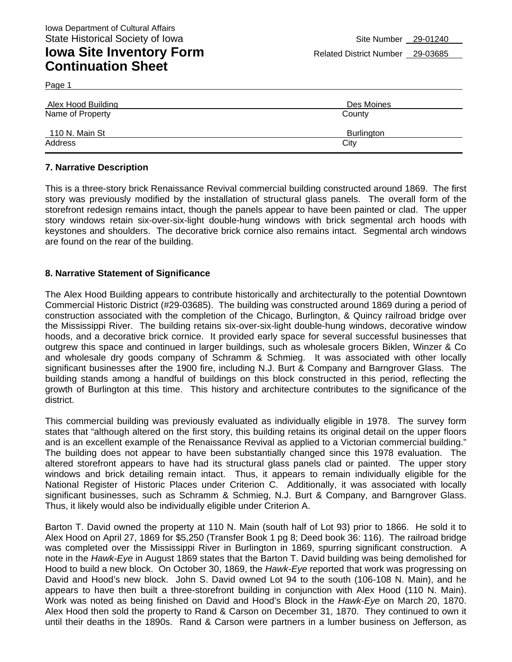Page 1

| Alex Hood Building | Des Moines |
|--------------------|------------|
| Name of Property   | County     |
| 110 N. Main St     | Burlington |
| Address            | City       |

#### **7. Narrative Description**

This is a three-story brick Renaissance Revival commercial building constructed around 1869. The first story was previously modified by the installation of structural glass panels. The overall form of the storefront redesign remains intact, though the panels appear to have been painted or clad. The upper story windows retain six-over-six-light double-hung windows with brick segmental arch hoods with keystones and shoulders. The decorative brick cornice also remains intact. Segmental arch windows are found on the rear of the building.

#### **8. Narrative Statement of Significance**

The Alex Hood Building appears to contribute historically and architecturally to the potential Downtown Commercial Historic District (#29-03685). The building was constructed around 1869 during a period of construction associated with the completion of the Chicago, Burlington, & Quincy railroad bridge over the Mississippi River. The building retains six-over-six-light double-hung windows, decorative window hoods, and a decorative brick cornice. It provided early space for several successful businesses that outgrew this space and continued in larger buildings, such as wholesale grocers Biklen, Winzer & Co and wholesale dry goods company of Schramm & Schmieg. It was associated with other locally significant businesses after the 1900 fire, including N.J. Burt & Company and Barngrover Glass. The building stands among a handful of buildings on this block constructed in this period, reflecting the growth of Burlington at this time. This history and architecture contributes to the significance of the district.

This commercial building was previously evaluated as individually eligible in 1978. The survey form states that "although altered on the first story, this building retains its original detail on the upper floors and is an excellent example of the Renaissance Revival as applied to a Victorian commercial building." The building does not appear to have been substantially changed since this 1978 evaluation. The altered storefront appears to have had its structural glass panels clad or painted. The upper story windows and brick detailing remain intact. Thus, it appears to remain individually eligible for the National Register of Historic Places under Criterion C. Additionally, it was associated with locally significant businesses, such as Schramm & Schmieg, N.J. Burt & Company, and Barngrover Glass. Thus, it likely would also be individually eligible under Criterion A.

Barton T. David owned the property at 110 N. Main (south half of Lot 93) prior to 1866. He sold it to Alex Hood on April 27, 1869 for \$5,250 (Transfer Book 1 pg 8; Deed book 36: 116). The railroad bridge was completed over the Mississippi River in Burlington in 1869, spurring significant construction. A note in the *Hawk-Eye* in August 1869 states that the Barton T. David building was being demolished for Hood to build a new block. On October 30, 1869, the *Hawk-Eye* reported that work was progressing on David and Hood's new block. John S. David owned Lot 94 to the south (106-108 N. Main), and he appears to have then built a three-storefront building in conjunction with Alex Hood (110 N. Main). Work was noted as being finished on David and Hood's Block in the *Hawk-Eye* on March 20, 1870. Alex Hood then sold the property to Rand & Carson on December 31, 1870. They continued to own it until their deaths in the 1890s. Rand & Carson were partners in a lumber business on Jefferson, as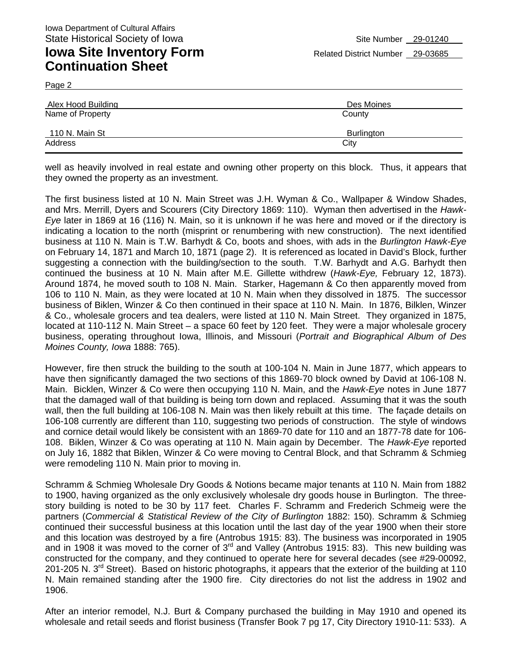Page 2

| <b>Alex Hood Building</b> | Des Moines        |  |
|---------------------------|-------------------|--|
| Name of Property          | County            |  |
| 110 N. Main St            | <b>Burlington</b> |  |
| Address                   | City              |  |

well as heavily involved in real estate and owning other property on this block. Thus, it appears that they owned the property as an investment.

The first business listed at 10 N. Main Street was J.H. Wyman & Co., Wallpaper & Window Shades, and Mrs. Merrill, Dyers and Scourers (City Directory 1869: 110). Wyman then advertised in the *Hawk-Eye* later in 1869 at 16 (116) N. Main, so it is unknown if he was here and moved or if the directory is indicating a location to the north (misprint or renumbering with new construction). The next identified business at 110 N. Main is T.W. Barhydt & Co, boots and shoes, with ads in the *Burlington Hawk-Eye*  on February 14, 1871 and March 10, 1871 (page 2). It is referenced as located in David's Block, further suggesting a connection with the building/section to the south. T.W. Barhydt and A.G. Barhydt then continued the business at 10 N. Main after M.E. Gillette withdrew (*Hawk-Eye,* February 12, 1873). Around 1874, he moved south to 108 N. Main. Starker, Hagemann & Co then apparently moved from 106 to 110 N. Main, as they were located at 10 N. Main when they dissolved in 1875. The successor business of Biklen, Winzer & Co then continued in their space at 110 N. Main. In 1876, Bilklen, Winzer & Co., wholesale grocers and tea dealers, were listed at 110 N. Main Street. They organized in 1875, located at 110-112 N. Main Street – a space 60 feet by 120 feet. They were a major wholesale grocery business, operating throughout Iowa, Illinois, and Missouri (*Portrait and Biographical Album of Des Moines County, Iowa* 1888: 765).

However, fire then struck the building to the south at 100-104 N. Main in June 1877, which appears to have then significantly damaged the two sections of this 1869-70 block owned by David at 106-108 N. Main. Bicklen, Winzer & Co were then occupying 110 N. Main, and the *Hawk-Eye* notes in June 1877 that the damaged wall of that building is being torn down and replaced. Assuming that it was the south wall, then the full building at 106-108 N. Main was then likely rebuilt at this time. The façade details on 106-108 currently are different than 110, suggesting two periods of construction. The style of windows and cornice detail would likely be consistent with an 1869-70 date for 110 and an 1877-78 date for 106- 108. Biklen, Winzer & Co was operating at 110 N. Main again by December. The *Hawk-Eye* reported on July 16, 1882 that Biklen, Winzer & Co were moving to Central Block, and that Schramm & Schmieg were remodeling 110 N. Main prior to moving in.

Schramm & Schmieg Wholesale Dry Goods & Notions became major tenants at 110 N. Main from 1882 to 1900, having organized as the only exclusively wholesale dry goods house in Burlington. The threestory building is noted to be 30 by 117 feet. Charles F. Schramm and Frederich Schmeig were the partners (*Commercial & Statistical Review of the City of Burlington* 1882: 150). Schramm & Schmieg continued their successful business at this location until the last day of the year 1900 when their store and this location was destroyed by a fire (Antrobus 1915: 83). The business was incorporated in 1905 and in 1908 it was moved to the corner of  $3<sup>rd</sup>$  and Valley (Antrobus 1915: 83). This new building was constructed for the company, and they continued to operate here for several decades (see #29-00092, 201-205 N. 3<sup>rd</sup> Street). Based on historic photographs, it appears that the exterior of the building at 110 N. Main remained standing after the 1900 fire. City directories do not list the address in 1902 and 1906.

After an interior remodel, N.J. Burt & Company purchased the building in May 1910 and opened its wholesale and retail seeds and florist business (Transfer Book 7 pg 17, City Directory 1910-11: 533). A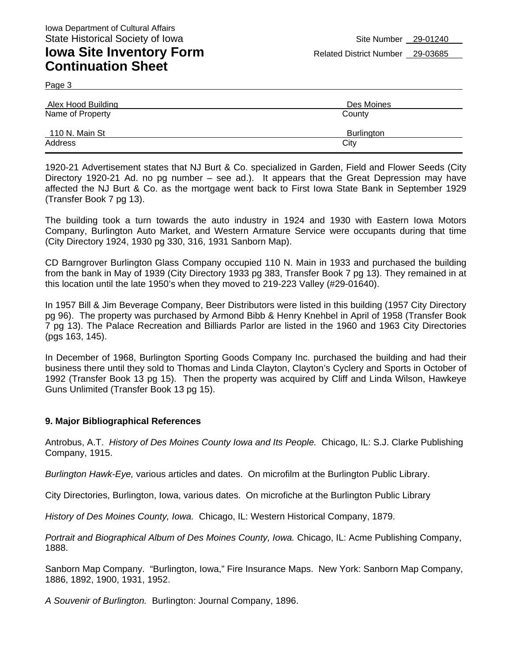Page 3

| Alex Hood Building | Des Moines |
|--------------------|------------|
| Name of Property   | County     |
| 110 N. Main St     | Burlington |
| Address            | City       |

1920-21 Advertisement states that NJ Burt & Co. specialized in Garden, Field and Flower Seeds (City Directory 1920-21 Ad. no pg number – see ad.). It appears that the Great Depression may have affected the NJ Burt & Co. as the mortgage went back to First Iowa State Bank in September 1929 (Transfer Book 7 pg 13).

The building took a turn towards the auto industry in 1924 and 1930 with Eastern Iowa Motors Company, Burlington Auto Market, and Western Armature Service were occupants during that time (City Directory 1924, 1930 pg 330, 316, 1931 Sanborn Map).

CD Barngrover Burlington Glass Company occupied 110 N. Main in 1933 and purchased the building from the bank in May of 1939 (City Directory 1933 pg 383, Transfer Book 7 pg 13). They remained in at this location until the late 1950's when they moved to 219-223 Valley (#29-01640).

In 1957 Bill & Jim Beverage Company, Beer Distributors were listed in this building (1957 City Directory pg 96). The property was purchased by Armond Bibb & Henry Knehbel in April of 1958 (Transfer Book 7 pg 13). The Palace Recreation and Billiards Parlor are listed in the 1960 and 1963 City Directories (pgs 163, 145).

In December of 1968, Burlington Sporting Goods Company Inc. purchased the building and had their business there until they sold to Thomas and Linda Clayton, Clayton's Cyclery and Sports in October of 1992 (Transfer Book 13 pg 15). Then the property was acquired by Cliff and Linda Wilson, Hawkeye Guns Unlimited (Transfer Book 13 pg 15).

#### **9. Major Bibliographical References**

Antrobus, A.T. *History of Des Moines County Iowa and Its People.* Chicago, IL: S.J. Clarke Publishing Company, 1915.

*Burlington Hawk-Eye,* various articles and dates. On microfilm at the Burlington Public Library.

City Directories, Burlington, Iowa, various dates. On microfiche at the Burlington Public Library

*History of Des Moines County, Iowa.* Chicago, IL: Western Historical Company, 1879.

*Portrait and Biographical Album of Des Moines County, Iowa. Chicago, IL: Acme Publishing Company,* 1888.

Sanborn Map Company. "Burlington, Iowa," Fire Insurance Maps. New York: Sanborn Map Company, 1886, 1892, 1900, 1931, 1952.

*A Souvenir of Burlington.* Burlington: Journal Company, 1896.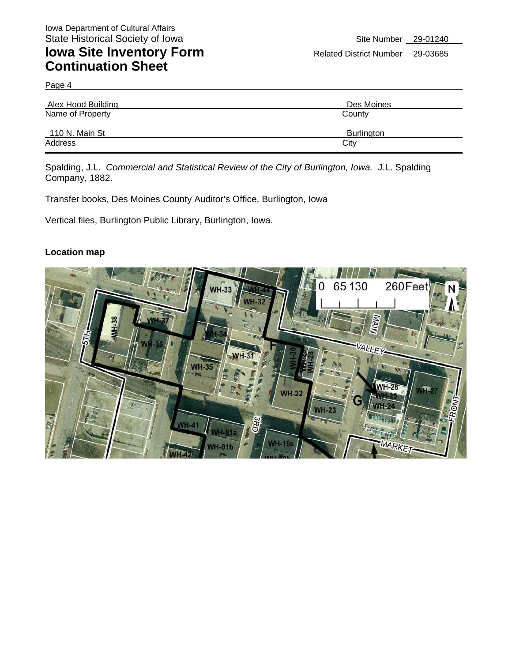Page 4

| Alex Hood Building | Des Moines        |  |
|--------------------|-------------------|--|
| Name of Property   | County            |  |
| 110 N. Main St     | <b>Burlington</b> |  |
| Address            | City              |  |

Spalding, J.L. *Commercial and Statistical Review of the City of Burlington, Iowa.* J.L. Spalding Company, 1882.

Transfer books, Des Moines County Auditor's Office, Burlington, Iowa

Vertical files, Burlington Public Library, Burlington, Iowa.

#### **Location map**

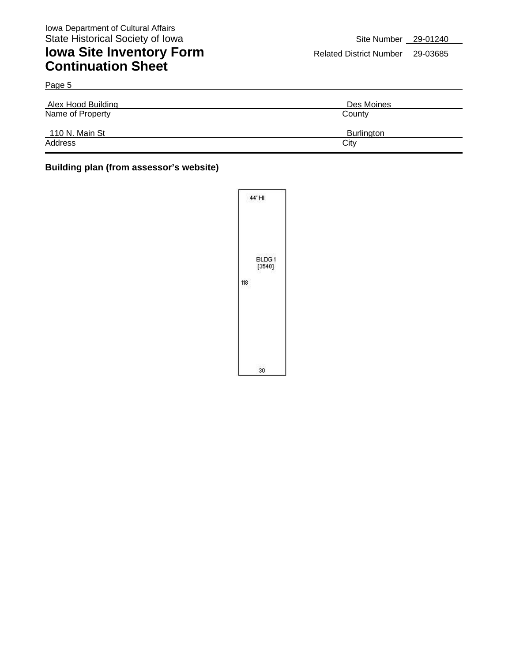Page 5

### **Iowa Site Inventory Form** Related District Number 29-03685 **Continuation Sheet**

| <b>Alex Hood Building</b> | Des Moines        |
|---------------------------|-------------------|
| Name of Property          | County            |
| 110 N. Main St            | <b>Burlington</b> |
| Address                   | City              |

#### **Building plan (from assessor's website)**

|     | 44 HI           |
|-----|-----------------|
| 118 | BLDG1<br>[3540] |
|     | 30              |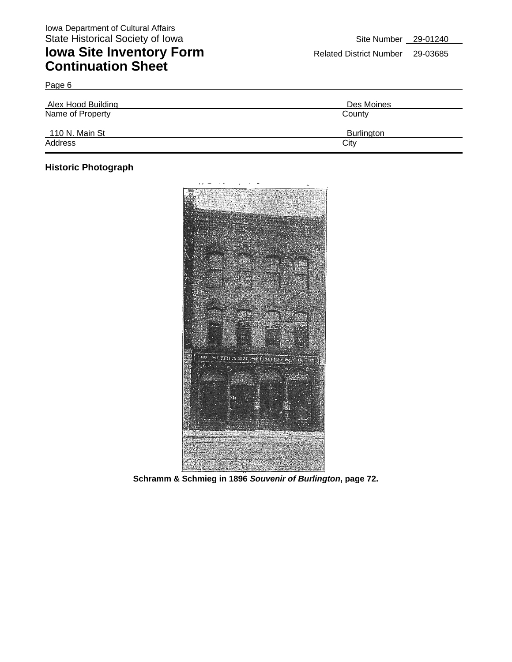| Alex Hood Building | Des Moines |
|--------------------|------------|
| Name of Property   | County     |
| 110 N. Main St     | Burlington |
| Address            | City       |

#### **Historic Photograph**

Page 6



**Schramm & Schmieg in 1896** *Souvenir of Burlington***, page 72.**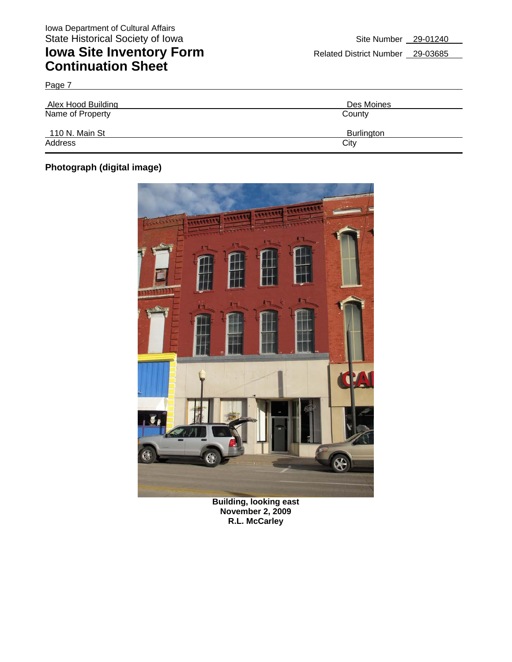| Page 7                    |                   |
|---------------------------|-------------------|
| <b>Alex Hood Building</b> | Des Moines        |
| Name of Property          | County            |
| 110 N. Main St            | <b>Burlington</b> |
| Address                   | City              |

#### **Photograph (digital image)**



**Building, looking east November 2, 2009 R.L. McCarley**